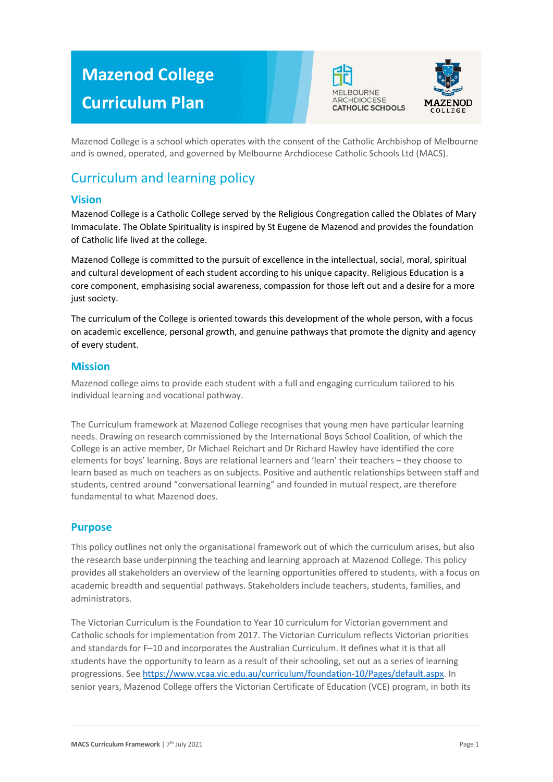# **Mazenod College Curriculum Plan**





Mazenod College is a school which operates with the consent of the Catholic Archbishop of Melbourne and is owned, operated, and governed by Melbourne Archdiocese Catholic Schools Ltd (MACS).

# Curriculum and learning policy

### **Vision**

Mazenod College is a Catholic College served by the Religious Congregation called the Oblates of Mary Immaculate. The Oblate Spirituality is inspired by St Eugene de Mazenod and provides the foundation of Catholic life lived at the college.

Mazenod College is committed to the pursuit of excellence in the intellectual, social, moral, spiritual and cultural development of each student according to his unique capacity. Religious Education is a core component, emphasising social awareness, compassion for those left out and a desire for a more just society.

The curriculum of the College is oriented towards this development of the whole person, with a focus on academic excellence, personal growth, and genuine pathways that promote the dignity and agency of every student.

### **Mission**

Mazenod college aims to provide each student with a full and engaging curriculum tailored to his individual learning and vocational pathway.

The Curriculum framework at Mazenod College recognises that young men have particular learning needs. Drawing on research commissioned by the International Boys School Coalition, of which the College is an active member, Dr Michael Reichart and Dr Richard Hawley have identified the core elements for boys' learning. Boys are relational learners and 'learn' their teachers – they choose to learn based as much on teachers as on subjects. Positive and authentic relationships between staff and students, centred around "conversational learning" and founded in mutual respect, are therefore fundamental to what Mazenod does.

### **Purpose**

This policy outlines not only the organisational framework out of which the curriculum arises, but also the research base underpinning the teaching and learning approach at Mazenod College. This policy provides all stakeholders an overview of the learning opportunities offered to students, with a focus on academic breadth and sequential pathways. Stakeholders include teachers, students, families, and administrators.

The Victorian Curriculum is the Foundation to Year 10 curriculum for Victorian government and Catholic schools for implementation from 2017. The Victorian Curriculum reflects Victorian priorities and standards for F–10 and incorporates the Australian Curriculum. It defines what it is that all students have the opportunity to learn as a result of their schooling, set out as a series of learning progressions. Se[e https://www.vcaa.vic.edu.au/curriculum/foundation-10/Pages/default.aspx.](https://www.vcaa.vic.edu.au/curriculum/foundation-10/Pages/default.aspx) In senior years, Mazenod College offers the Victorian Certificate of Education (VCE) program, in both its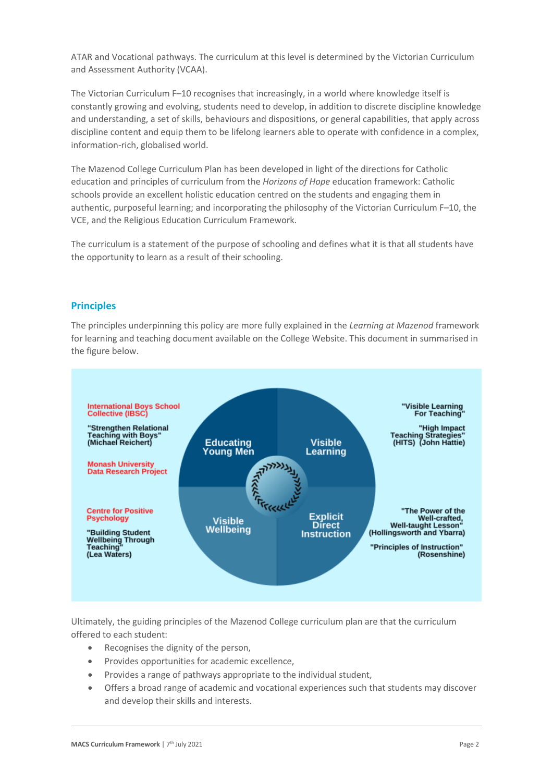ATAR and Vocational pathways. The curriculum at this level is determined by the Victorian Curriculum and Assessment Authority (VCAA).

The Victorian Curriculum F–10 recognises that increasingly, in a world where knowledge itself is constantly growing and evolving, students need to develop, in addition to discrete discipline knowledge and understanding, a set of skills, behaviours and dispositions, or general capabilities, that apply across discipline content and equip them to be lifelong learners able to operate with confidence in a complex, information-rich, globalised world.

The Mazenod College Curriculum Plan has been developed in light of the directions for Catholic education and principles of curriculum from the *Horizons of Hope* education framework: Catholic schools provide an excellent holistic education centred on the students and engaging them in authentic, purposeful learning; and incorporating the philosophy of the Victorian Curriculum F–10, the VCE, and the Religious Education Curriculum Framework.

The curriculum is a statement of the purpose of schooling and defines what it is that all students have the opportunity to learn as a result of their schooling.

#### **Principles**

The principles underpinning this policy are more fully explained in the *Learning at Mazenod* framework for learning and teaching document available on the College Website. This document in summarised in the figure below.



Ultimately, the guiding principles of the Mazenod College curriculum plan are that the curriculum offered to each student:

- Recognises the dignity of the person,
- Provides opportunities for academic excellence,
- Provides a range of pathways appropriate to the individual student,
- Offers a broad range of academic and vocational experiences such that students may discover and develop their skills and interests.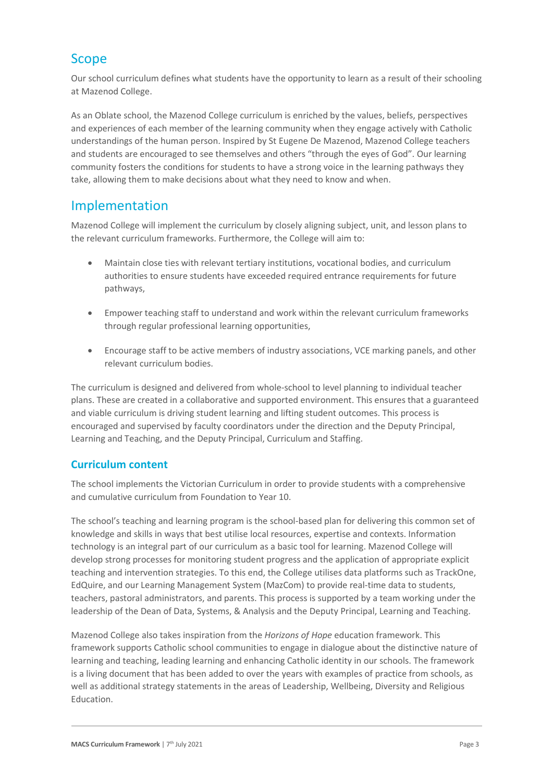## Scope

Our school curriculum defines what students have the opportunity to learn as a result of their schooling at Mazenod College.

As an Oblate school, the Mazenod College curriculum is enriched by the values, beliefs, perspectives and experiences of each member of the learning community when they engage actively with Catholic understandings of the human person. Inspired by St Eugene De Mazenod, Mazenod College teachers and students are encouraged to see themselves and others "through the eyes of God". Our learning community fosters the conditions for students to have a strong voice in the learning pathways they take, allowing them to make decisions about what they need to know and when.

### Implementation

Mazenod College will implement the curriculum by closely aligning subject, unit, and lesson plans to the relevant curriculum frameworks. Furthermore, the College will aim to:

- Maintain close ties with relevant tertiary institutions, vocational bodies, and curriculum authorities to ensure students have exceeded required entrance requirements for future pathways,
- Empower teaching staff to understand and work within the relevant curriculum frameworks through regular professional learning opportunities,
- Encourage staff to be active members of industry associations, VCE marking panels, and other relevant curriculum bodies.

The curriculum is designed and delivered from whole-school to level planning to individual teacher plans. These are created in a collaborative and supported environment. This ensures that a guaranteed and viable curriculum is driving student learning and lifting student outcomes. This process is encouraged and supervised by faculty coordinators under the direction and the Deputy Principal, Learning and Teaching, and the Deputy Principal, Curriculum and Staffing.

### **Curriculum content**

The school implements the Victorian Curriculum in order to provide students with a comprehensive and cumulative curriculum from Foundation to Year 10.

The school's teaching and learning program is the school-based plan for delivering this common set of knowledge and skills in ways that best utilise local resources, expertise and contexts. Information technology is an integral part of our curriculum as a basic tool for learning. Mazenod College will develop strong processes for monitoring student progress and the application of appropriate explicit teaching and intervention strategies. To this end, the College utilises data platforms such as TrackOne, EdQuire, and our Learning Management System (MazCom) to provide real-time data to students, teachers, pastoral administrators, and parents. This process is supported by a team working under the leadership of the Dean of Data, Systems, & Analysis and the Deputy Principal, Learning and Teaching.

Mazenod College also takes inspiration from the *Horizons of Hope* education framework. This framework supports Catholic school communities to engage in dialogue about the distinctive nature of learning and teaching, leading learning and enhancing Catholic identity in our schools. The framework is a living document that has been added to over the years with examples of practice from schools, as well as additional strategy statements in the areas of Leadership, Wellbeing, Diversity and Religious Education.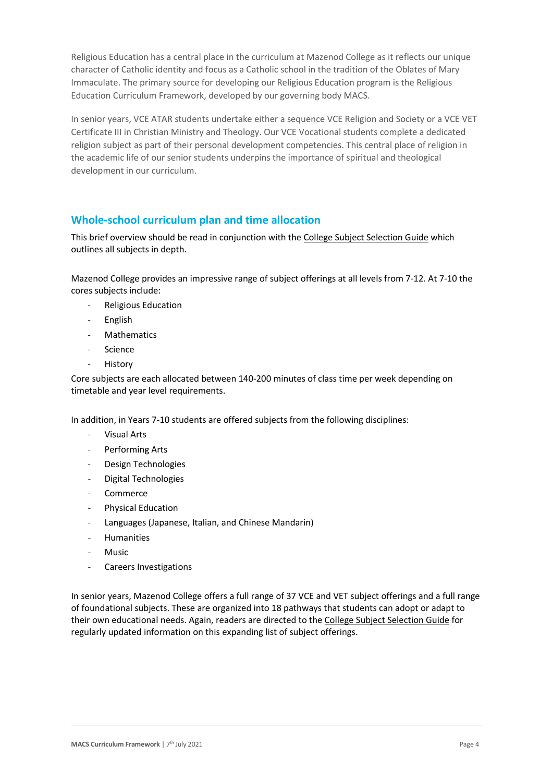Religious Education has a central place in the curriculum at Mazenod College as it reflects our unique character of Catholic identity and focus as a Catholic school in the tradition of the Oblates of Mary Immaculate. The primary source for developing our Religious Education program is the Religious Education Curriculum Framework, developed by our governing body MACS.

In senior years, VCE ATAR students undertake either a sequence VCE Religion and Society or a VCE VET Certificate III in Christian Ministry and Theology. Our VCE Vocational students complete a dedicated religion subject as part of their personal development competencies. This central place of religion in the academic life of our senior students underpins the importance of spiritual and theological development in our curriculum.

### **Whole-school curriculum plan and time allocation**

This brief overview should be read in conjunction with the [College Subject Selection Guide](https://www.mazenod.vic.edu.au/a-faith-centred-education/learning-and-teaching/curriculum-handbooks/) which outlines all subjects in depth.

Mazenod College provides an impressive range of subject offerings at all levels from 7-12. At 7-10 the cores subjects include:

- Religious Education
- English
- **Mathematics**
- Science
- **History**

Core subjects are each allocated between 140-200 minutes of class time per week depending on timetable and year level requirements.

In addition, in Years 7-10 students are offered subjects from the following disciplines:

- Visual Arts
- Performing Arts
- Design Technologies
- Digital Technologies
- Commerce
- Physical Education
- Languages (Japanese, Italian, and Chinese Mandarin)
- Humanities
- **Music**
- Careers Investigations

In senior years, Mazenod College offers a full range of 37 VCE and VET subject offerings and a full range of foundational subjects. These are organized into 18 pathways that students can adopt or adapt to their own educational needs. Again, readers are directed to th[e College Subject Selection Guide](https://www.mazenod.vic.edu.au/a-faith-centred-education/learning-and-teaching/curriculum-handbooks/) for regularly updated information on this expanding list of subject offerings.